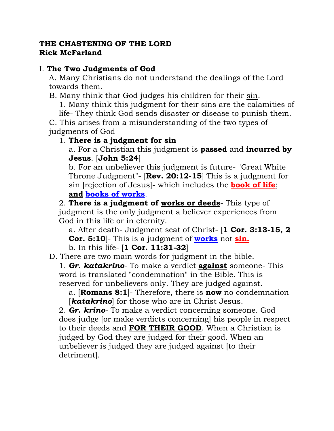#### **THE CHASTENING OF THE LORD Rick McFarland**

# I. **The Two Judgments of God**

A. Many Christians do not understand the dealings of the Lord towards them.

B. Many think that God judges his children for their sin.

1. Many think this judgment for their sins are the calamities of life- They think God sends disaster or disease to punish them.

C. This arises from a misunderstanding of the two types of judgments of God

#### 1. **There is a judgment for sin**

a. For a Christian this judgment is **passed** and **incurred by Jesus**. [**John 5:24**]

b. For an unbeliever this judgment is future- "Great White Throne Judgment"- [**Rev. 20:12-15**] This is a judgment for sin [rejection of Jesus]- which includes the **book of life**; **and books of works**.

2. **There is a judgment of works or deeds**- This type of judgment is the only judgment a believer experiences from God in this life or in eternity.

a. After death- Judgment seat of Christ- [**1 Cor. 3:13-15, 2 Cor. 5:10**]- This is a judgment of **works** not **sin.**

b. In this life- [**1 Cor. 11:31-32**]

D. There are two main words for judgment in the bible.

1. *Gr. katakrino*- To make a verdict **against** someone- This word is translated "condemnation" in the Bible. This is reserved for unbelievers only. They are judged against.

a. [**Romans 8:1**]- Therefore, there is **now** no condemnation *katakrino* for those who are in Christ Jesus.

2. *Gr. krino*- To make a verdict concerning someone. God does judge [or make verdicts concerning] his people in respect to their deeds and **FOR THEIR GOOD**. When a Christian is judged by God they are judged for their good. When an unbeliever is judged they are judged against [to their detriment].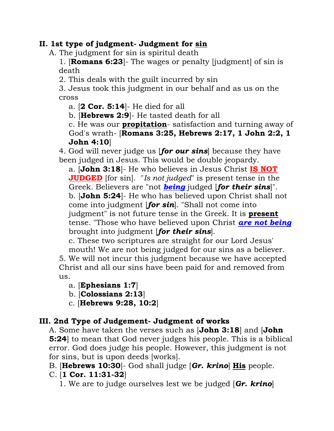#### **II. 1st type of judgment- Judgment for sin**

A. The judgment for sin is spiritul death

1. [**Romans 6:23**]- The wages or penalty [judgment] of sin is death

2. This deals with the guilt incurred by sin

3. Jesus took this judgment in our behalf and as us on the cross

a. [**2 Cor. 5:14**]- He died for all

b. [**Hebrews 2:9**]- He tasted death for all

c. He was our **propitation**- satisfaction and turning away of God's wrath- [**Romans 3:25, Hebrews 2:17, 1 John 2:2, 1 John 4:10**]

4. God will never judge us [*for our sins*] because they have been judged in Jesus. This would be double jeopardy.

a. [**John 3:18**]- He who believes in Jesus Christ **IS NOT JUDGED** [for sin]. "*Is not judged*" is present tense in the Greek. Believers are "not *being* judged [*for their sins*]". b. [**John 5:24**]- He who has believed upon Christ shall not come into judgment [*for sin*]. "Shall not come into judgment" is not future tense in the Greek. It is **present** tense. "Those who have believed upon Christ *are not being* brought into judgment [*for their sins*].

c. These two scriptures are straight for our Lord Jesus'

mouth! We are not being judged for our sins as a believer. 5. We will not incur this judgment because we have accepted Christ and all our sins have been paid for and removed from us.

a. [**Ephesians 1:7**]

b. [**Colossians 2:13**]

c. [**Hebrews 9:28, 10:2**]

# **III. 2nd Type of Judgement- Judgment of works**

A. Some have taken the verses such as [**John 3:18**] and [**John 5:24**] to mean that God never judges his people. This is a biblical error. God does judge his people. However, this judgment is not for sins, but is upon deeds [works].

B. [**Hebrews 10:30**]- God shall judge [*Gr. krino*] **His** people.

C. [**1 Cor. 11:31-32**]

1. We are to judge ourselves lest we be judged [*Gr. krino*]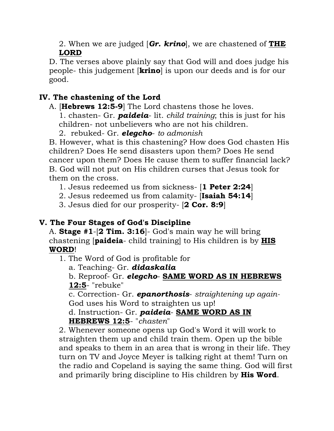2. When we are judged [*Gr. krino*], we are chastened of **THE LORD**

D. The verses above plainly say that God will and does judge his people- this judgement [**krino**] is upon our deeds and is for our good.

# **IV. The chastening of the Lord**

A. [**Hebrews 12:5-9**] The Lord chastens those he loves.

1. chasten- Gr. *paideia*- lit. *child training*; this is just for his children- not unbelievers who are not his children.

2. rebuked- Gr. *elegcho*- *to admonish*

B. However, what is this chastening? How does God chasten His children? Does He send disasters upon them? Does He send cancer upon them? Does He cause them to suffer financial lack? B. God will not put on His children curses that Jesus took for them on the cross.

1. Jesus redeemed us from sickness- [**1 Peter 2:24**]

2. Jesus redeemed us from calamity- [**Isaiah 54:14**]

3. Jesus died for our prosperity- [**2 Cor. 8:9**]

# **V. The Four Stages of God's Discipline**

A. **Stage #1**-[**2 Tim. 3:16**]- God's main way he will bring chastening [**paideia**- child training] to His children is by **HIS WORD**!

1. The Word of God is profitable for

a. Teaching- Gr. *didaskalia*

b. Reproof- Gr. *elegcho*- **SAME WORD AS IN HEBREWS 12:5**- "rebuke"

c. Correction- Gr. *epanorthosis*- *straightening up again-*God uses his Word to straighten us up!

d. Instruction- Gr. *paideia*- **SAME WORD AS IN HEBREWS 12:5**- "*chasten*"

2. Whenever someone opens up God's Word it will work to straighten them up and child train them. Open up the bible and speaks to them in an area that is wrong in their life. They turn on TV and Joyce Meyer is talking right at them! Turn on the radio and Copeland is saying the same thing. God will first and primarily bring discipline to His children by **His Word**.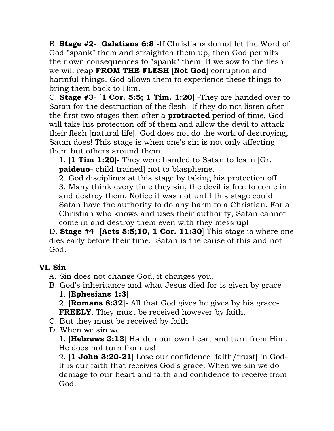B. **Stage #2**- [**Galatians 6:8**]-If Christians do not let the Word of God "spank" them and straighten them up, then God permits their own consequences to "spank" them. If we sow to the flesh we will reap **FROM THE FLESH** [**Not God**] corruption and harmful things. God allows them to experience these things to bring them back to Him.

C. **Stage #3**- [**1 Cor. 5:5; 1 Tim. 1:20**] -They are handed over to Satan for the destruction of the flesh- If they do not listen after the first two stages then after a **protracted** period of time, God will take his protection off of them and allow the devil to attack their flesh [natural life]. God does not do the work of destroying, Satan does! This stage is when one's sin is not only affecting them but others around them.

1. [**1 Tim 1:20**]- They were handed to Satan to learn [Gr. **paideuo**- child trained] not to blaspheme.

2. God disciplines at this stage by taking his protection off. 3. Many think every time they sin, the devil is free to come in and destroy them. Notice it was not until this stage could Satan have the authority to do any harm to a Christian. For a Christian who knows and uses their authority, Satan cannot come in and destroy them even with they mess up!

D. **Stage #4**- [**Acts 5:5;10, 1 Cor. 11:30**] This stage is where one dies early before their time. Satan is the cause of this and not God.

# **VI. Sin**

A. Sin does not change God, it changes you.

B. God's inheritance and what Jesus died for is given by grace 1. [**Ephesians 1:3**]

2. [**Romans 8:32**]- All that God gives he gives by his grace-**FREELY**. They must be received however by faith.

- C. But they must be received by faith
- D. When we sin we

1. [**Hebrews 3:13**] Harden our own heart and turn from Him. He does not turn from us!

2. [**1 John 3:20-21**] Lose our confidence [faith/trust] in God-It is our faith that receives God's grace. When we sin we do damage to our heart and faith and confidence to receive from God.